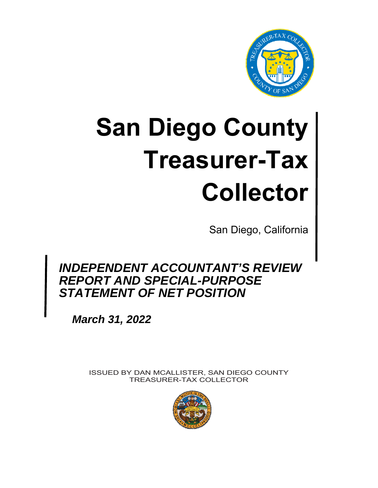

# **San Diego County Treasurer-Tax Collector**

San Diego, California

# *INDEPENDENT ACCOUNTANT'S REVIEW REPORT AND SPECIAL-PURPOSE STATEMENT OF NET POSITION*

*March 31, 2022* 

ISSUED BY DAN MCALLISTER, SAN DIEGO COUNTY TREASURER-TAX COLLECTOR

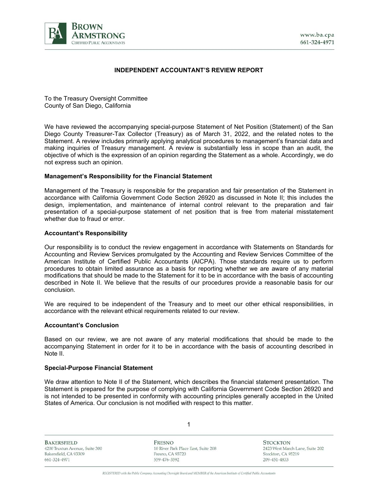

#### **INDEPENDENT ACCOUNTANT'S REVIEW REPORT**

To the Treasury Oversight Committee County of San Diego, California

We have reviewed the accompanying special-purpose Statement of Net Position (Statement) of the San Diego County Treasurer-Tax Collector (Treasury) as of March 31, 2022, and the related notes to the Statement. A review includes primarily applying analytical procedures to management's financial data and making inquiries of Treasury management. A review is substantially less in scope than an audit, the objective of which is the expression of an opinion regarding the Statement as a whole. Accordingly, we do not express such an opinion.

#### **Management's Responsibility for the Financial Statement**

Management of the Treasury is responsible for the preparation and fair presentation of the Statement in accordance with California Government Code Section 26920 as discussed in Note II; this includes the design, implementation, and maintenance of internal control relevant to the preparation and fair presentation of a special-purpose statement of net position that is free from material misstatement whether due to fraud or error

#### **Accountant's Responsibility**

Our responsibility is to conduct the review engagement in accordance with Statements on Standards for Accounting and Review Services promulgated by the Accounting and Review Services Committee of the American Institute of Certified Public Accountants (AICPA). Those standards require us to perform procedures to obtain limited assurance as a basis for reporting whether we are aware of any material modifications that should be made to the Statement for it to be in accordance with the basis of accounting described in Note II. We believe that the results of our procedures provide a reasonable basis for our conclusion.

We are required to be independent of the Treasury and to meet our other ethical responsibilities, in accordance with the relevant ethical requirements related to our review.

#### **Accountant's Conclusion**

Based on our review, we are not aware of any material modifications that should be made to the accompanying Statement in order for it to be in accordance with the basis of accounting described in Note II.

#### **Special-Purpose Financial Statement**

We draw attention to Note II of the Statement, which describes the financial statement presentation. The Statement is prepared for the purpose of complying with California Government Code Section 26920 and is not intended to be presented in conformity with accounting principles generally accepted in the United States of America. Our conclusion is not modified with respect to this matter.

1

**BAKERSFIELD** 4200 Truxtun Avenue, Suite 300 Bakersfield, CA 93309 661-324-4971

FRESNO 10 River Park Place East, Suite 208 Fresno, CA 93720 559-476-3592

**STOCKTON** 2423 West March Lane, Suite 202 Stockton, CA 95219 209-451-4833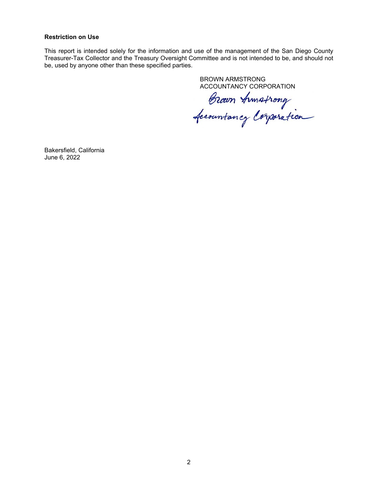#### **Restriction on Use**

This report is intended solely for the information and use of the management of the San Diego County Treasurer-Tax Collector and the Treasury Oversight Committee and is not intended to be, and should not be, used by anyone other than these specified parties.

BROWN ARMSTRONG

ACCOUNTANCY CORPORATION<br>Brown Armstrong<br>Accountancy Corporation

Bakersfield, California June 6, 2022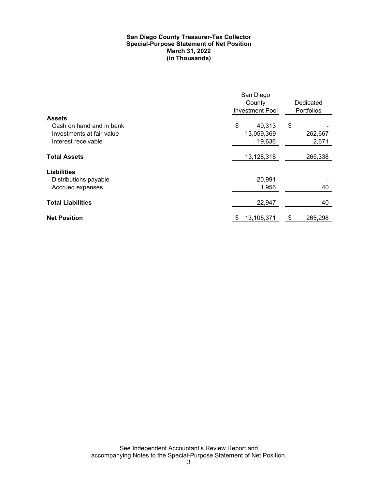#### **San Diego County Treasurer-Tax Collector Special-Purpose Statement of Net Position March 31, 2022 (in Thousands)**

|                           | San Diego<br>County<br>Investment Pool | Dedicated<br>Portfolios |  |
|---------------------------|----------------------------------------|-------------------------|--|
| <b>Assets</b>             |                                        |                         |  |
| Cash on hand and in bank  | \$<br>49,313                           | \$                      |  |
| Investments at fair value | 13,059,369                             | 262,667                 |  |
| Interest receivable       | 19,636                                 | 2,671                   |  |
| <b>Total Assets</b>       | 13,128,318                             | 265,338                 |  |
| <b>Liabilities</b>        |                                        |                         |  |
| Distributions payable     | 20,991                                 |                         |  |
| Accrued expenses          | 1,956                                  | 40                      |  |
| <b>Total Liabilities</b>  | 22,947                                 | 40                      |  |
| <b>Net Position</b>       | 13,105,371                             | \$<br>265,298           |  |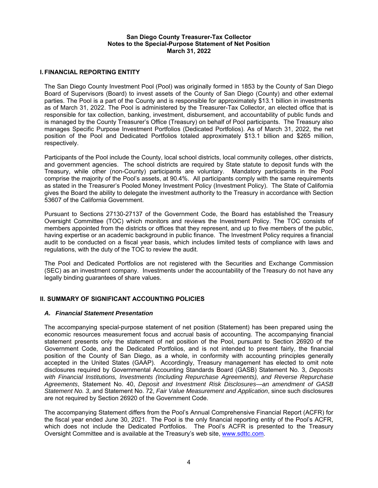#### **San Diego County Treasurer-Tax Collector Notes to the Special-Purpose Statement of Net Position March 31, 2022**

#### **I. FINANCIAL REPORTING ENTITY**

The San Diego County Investment Pool (Pool) was originally formed in 1853 by the County of San Diego Board of Supervisors (Board) to invest assets of the County of San Diego (County) and other external parties. The Pool is a part of the County and is responsible for approximately \$13.1 billion in investments as of March 31, 2022. The Pool is administered by the Treasurer-Tax Collector, an elected office that is responsible for tax collection, banking, investment, disbursement, and accountability of public funds and is managed by the County Treasurer's Office (Treasury) on behalf of Pool participants. The Treasury also manages Specific Purpose Investment Portfolios (Dedicated Portfolios). As of March 31, 2022, the net position of the Pool and Dedicated Portfolios totaled approximately \$13.1 billion and \$265 million, respectively.

Participants of the Pool include the County, local school districts, local community colleges, other districts, and government agencies. The school districts are required by State statute to deposit funds with the Treasury, while other (non-County) participants are voluntary. Mandatory participants in the Pool comprise the majority of the Pool's assets, at 90.4%. All participants comply with the same requirements as stated in the Treasurer's Pooled Money Investment Policy (Investment Policy). The State of California gives the Board the ability to delegate the investment authority to the Treasury in accordance with Section 53607 of the California Government.

Pursuant to Sections 27130-27137 of the Government Code, the Board has established the Treasury Oversight Committee (TOC) which monitors and reviews the Investment Policy. The TOC consists of members appointed from the districts or offices that they represent, and up to five members of the public, having expertise or an academic background in public finance. The Investment Policy requires a financial audit to be conducted on a fiscal year basis, which includes limited tests of compliance with laws and regulations, with the duty of the TOC to review the audit.

The Pool and Dedicated Portfolios are not registered with the Securities and Exchange Commission (SEC) as an investment company. Investments under the accountability of the Treasury do not have any legally binding guarantees of share values.

# **II. SUMMARY OF SIGNIFICANT ACCOUNTING POLICIES**

#### *A. Financial Statement Presentation*

The accompanying special-purpose statement of net position (Statement) has been prepared using the economic resources measurement focus and accrual basis of accounting. The accompanying financial statement presents only the statement of net position of the Pool, pursuant to Section 26920 of the Government Code, and the Dedicated Portfolios, and is not intended to present fairly, the financial position of the County of San Diego, as a whole, in conformity with accounting principles generally accepted in the United States (GAAP). Accordingly, Treasury management has elected to omit note disclosures required by Governmental Accounting Standards Board (GASB) Statement No. 3, *Deposits with Financial Institutions, Investments (Including Repurchase Agreements), and Reverse Repurchase Agreements*, Statement No. 40, *Deposit and Investment Risk Disclosures—an amendment of GASB Statement No. 3*, and Statement No. 72, *Fair Value Measurement and Application*, since such disclosures are not required by Section 26920 of the Government Code.

The accompanying Statement differs from the Pool's Annual Comprehensive Financial Report (ACFR) for the fiscal year ended June 30, 2021. The Pool is the only financial reporting entity of the Pool's ACFR, which does not include the Dedicated Portfolios. The Pool's ACFR is presented to the Treasury Oversight Committee and is available at the Treasury's web site, www.sdttc.com.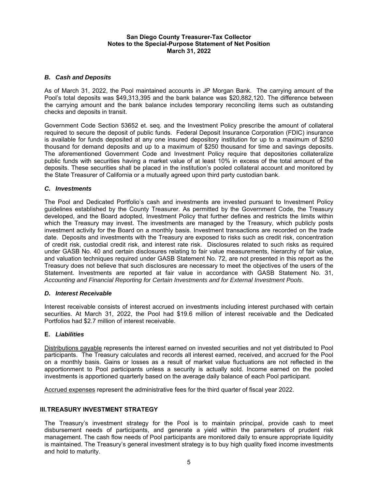#### **San Diego County Treasurer-Tax Collector Notes to the Special-Purpose Statement of Net Position March 31, 2022**

#### *B. Cash and Deposits*

As of March 31, 2022, the Pool maintained accounts in JP Morgan Bank. The carrying amount of the Pool's total deposits was \$49,313,395 and the bank balance was \$20,882,120. The difference between the carrying amount and the bank balance includes temporary reconciling items such as outstanding checks and deposits in transit.

Government Code Section 53652 et. seq. and the Investment Policy prescribe the amount of collateral required to secure the deposit of public funds. Federal Deposit Insurance Corporation (FDIC) insurance is available for funds deposited at any one insured depository institution for up to a maximum of \$250 thousand for demand deposits and up to a maximum of \$250 thousand for time and savings deposits. The aforementioned Government Code and Investment Policy require that depositories collateralize public funds with securities having a market value of at least 10% in excess of the total amount of the deposits. These securities shall be placed in the institution's pooled collateral account and monitored by the State Treasurer of California or a mutually agreed upon third party custodian bank.

### *C. Investments*

The Pool and Dedicated Portfolio's cash and investments are invested pursuant to Investment Policy guidelines established by the County Treasurer. As permitted by the Government Code, the Treasury developed, and the Board adopted, Investment Policy that further defines and restricts the limits within which the Treasury may invest. The investments are managed by the Treasury, which publicly posts investment activity for the Board on a monthly basis. Investment transactions are recorded on the trade date. Deposits and investments with the Treasury are exposed to risks such as credit risk, concentration of credit risk, custodial credit risk, and interest rate risk. Disclosures related to such risks as required under GASB No. 40 and certain disclosures relating to fair value measurements, hierarchy of fair value, and valuation techniques required under GASB Statement No. 72, are not presented in this report as the Treasury does not believe that such disclosures are necessary to meet the objectives of the users of the Statement. Investments are reported at fair value in accordance with GASB Statement No. 31, *Accounting and Financial Reporting for Certain Investments and for External Investment Pools*.

# *D. Interest Receivable*

Interest receivable consists of interest accrued on investments including interest purchased with certain securities. At March 31, 2022, the Pool had \$19.6 million of interest receivable and the Dedicated Portfolios had \$2.7 million of interest receivable.

#### **E.** *Liabilities*

Distributions payable represents the interest earned on invested securities and not yet distributed to Pool participants. The Treasury calculates and records all interest earned, received, and accrued for the Pool on a monthly basis. Gains or losses as a result of market value fluctuations are not reflected in the apportionment to Pool participants unless a security is actually sold. Income earned on the pooled investments is apportioned quarterly based on the average daily balance of each Pool participant.

Accrued expenses represent the administrative fees for the third quarter of fiscal year 2022.

#### **III. TREASURY INVESTMENT STRATEGY**

The Treasury's investment strategy for the Pool is to maintain principal, provide cash to meet disbursement needs of participants, and generate a yield within the parameters of prudent risk management. The cash flow needs of Pool participants are monitored daily to ensure appropriate liquidity is maintained. The Treasury's general investment strategy is to buy high quality fixed income investments and hold to maturity.